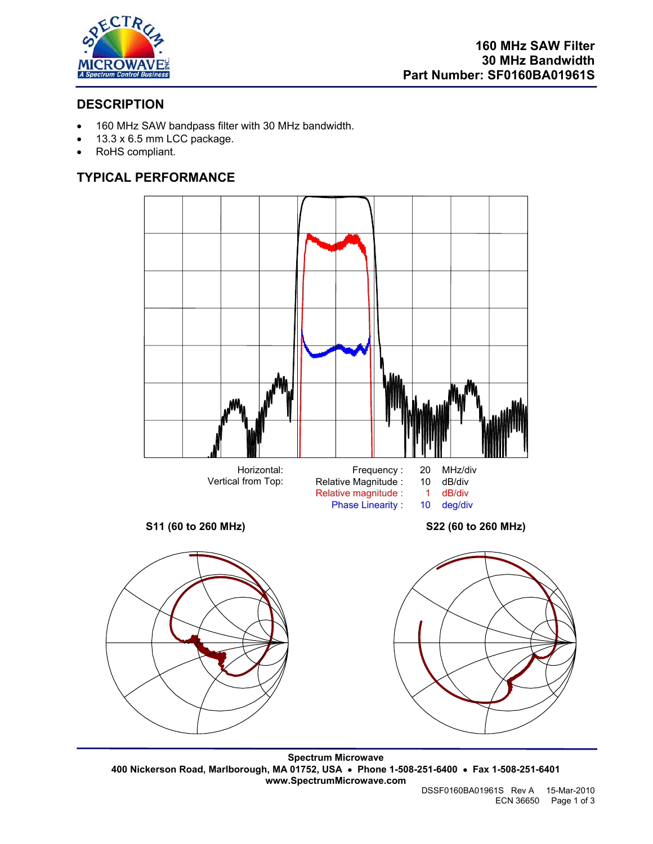

# **DESCRIPTION**

- 160 MHz SAW bandpass filter with 30 MHz bandwidth.
- 13.3 x 6.5 mm LCC package.
- RoHS compliant.

# **TYPICAL PERFORMANCE**



**Spectrum Microwave 400 Nickerson Road, Marlborough, MA 01752, USA** • **Phone 1-508-251-6400** • **Fax 1-508-251-6401 www.SpectrumMicrowave.com**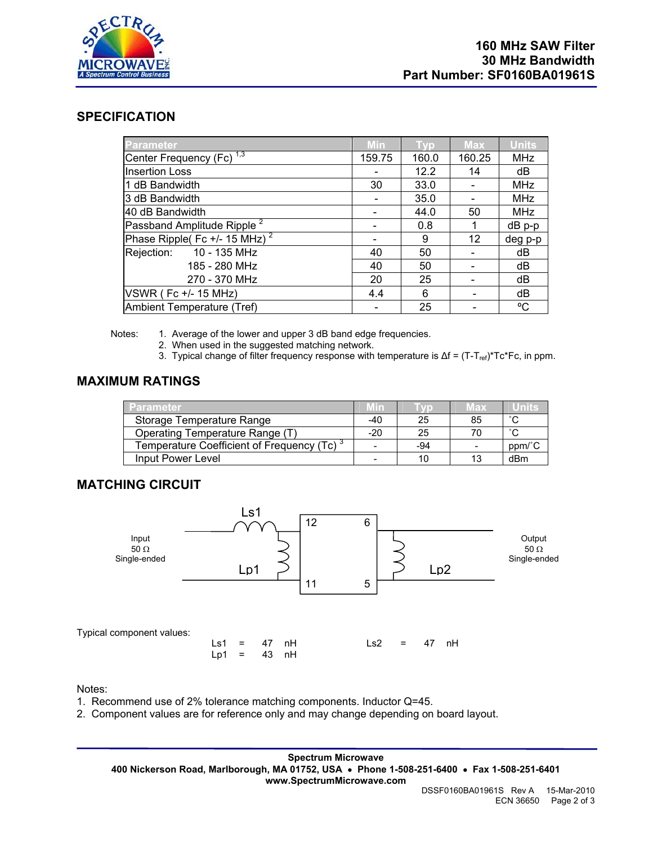

### **SPECIFICATION**

| <b>Parameter</b>                            | <b>Min</b> | Tvp   | <b>Max</b> | <b>Units</b> |
|---------------------------------------------|------------|-------|------------|--------------|
| Center Frequency (Fc) <sup>1,3</sup>        | 159.75     | 160.0 | 160.25     | <b>MHz</b>   |
| <b>Insertion Loss</b>                       |            | 12.2  | 14         | dB           |
| 1 dB Bandwidth                              | 30         | 33.0  |            | <b>MHz</b>   |
| 3 dB Bandwidth                              |            | 35.0  |            | <b>MHz</b>   |
| 40 dB Bandwidth                             |            | 44.0  | 50         | <b>MHz</b>   |
| Passband Amplitude Ripple <sup>2</sup>      |            | 0.8   | 1          | dB p-p       |
| Phase Ripple( Fc +/- $15$ MHz) <sup>2</sup> |            | 9     | 12         | deg p-p      |
| Rejection: 10 - 135 MHz                     | 40         | 50    |            | dB           |
| 185 - 280 MHz                               | 40         | 50    |            | dB           |
| 270 - 370 MHz                               | 20         | 25    |            | dB           |
| <b>VSWR (Fc +/- 15 MHz)</b>                 | 4.4        | 6     |            | dB           |
| Ambient Temperature (Tref)                  |            | 25    |            | °C           |

Notes: 1. Average of the lower and upper 3 dB band edge frequencies.

- 2. When used in the suggested matching network.
- 3. Typical change of filter frequency response with temperature is  $\Delta f = (T T_{ref})^* T c^*Fc$ , in ppm.

## **MAXIMUM RATINGS**

| Parameter                                              | MIN                      |     | A SY | Units          |
|--------------------------------------------------------|--------------------------|-----|------|----------------|
| Storage Temperature Range                              | -40                      | 25  | 85   | $\sim$         |
| Operating Temperature Range (T)                        | $-20$                    | 25  | 70   | $\circ$ $\sim$ |
| Temperature Coefficient of Frequency (Tc) <sup>3</sup> | $\overline{\phantom{0}}$ | -94 |      | ppm/°C         |
| Input Power Level                                      | $\overline{\phantom{0}}$ |     | 13   | dBm            |

## **MATCHING CIRCUIT**



Notes:

1. Recommend use of 2% tolerance matching components. Inductor Q=45.

2. Component values are for reference only and may change depending on board layout.

**Spectrum Microwave 400 Nickerson Road, Marlborough, MA 01752, USA** • **Phone 1-508-251-6400** • **Fax 1-508-251-6401 www.SpectrumMicrowave.com**